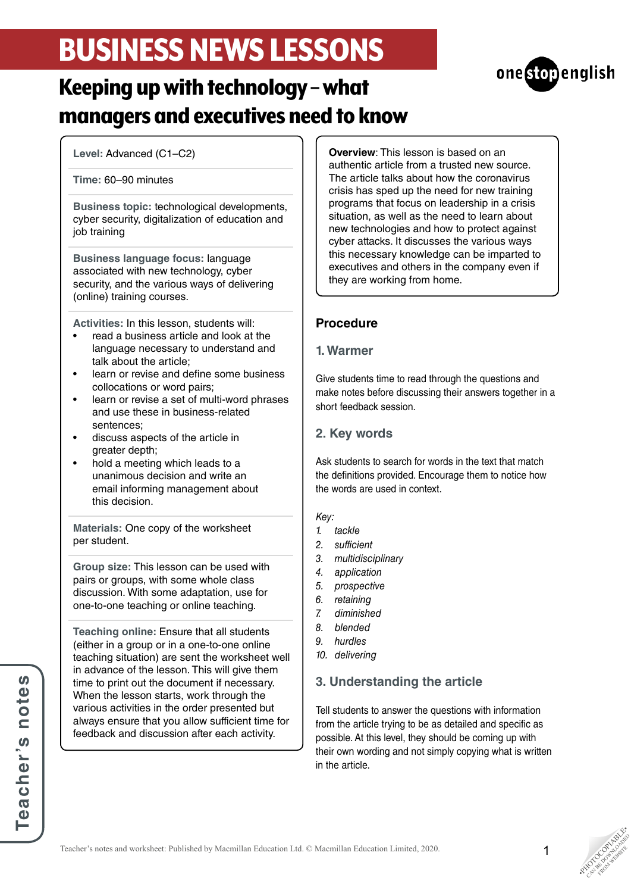# BUSINESS NEWS LESSONS



## Keeping up with technology – what managers and executives need to know

**Level:** Advanced (C1–C2)

#### **Time:** 60–90 minutes

**Business topic:** technological developments, cyber security, digitalization of education and job training

**Business language focus:** language associated with new technology, cyber security, and the various ways of delivering (online) training courses.

**Activities:** In this lesson, students will:

- read a business article and look at the language necessary to understand and talk about the article;
- learn or revise and define some business collocations or word pairs;
- learn or revise a set of multi-word phrases and use these in business-related sentences;
- discuss aspects of the article in greater depth;
- hold a meeting which leads to a unanimous decision and write an email informing management about this decision.

**Materials:** One copy of the worksheet per student.

**Group size:** This lesson can be used with pairs or groups, with some whole class discussion. With some adaptation, use for one-to-one teaching or online teaching.

**Teaching online:** Ensure that all students (either in a group or in a one-to-one online teaching situation) are sent the worksheet well in advance of the lesson. This will give them time to print out the document if necessary. When the lesson starts, work through the various activities in the order presented but always ensure that you allow sufficient time for feedback and discussion after each activity.

**Overview**: This lesson is based on an authentic article from a trusted new source. The article talks about how the coronavirus crisis has sped up the need for new training programs that focus on leadership in a crisis situation, as well as the need to learn about new technologies and how to protect against cyber attacks. It discusses the various ways this necessary knowledge can be imparted to executives and others in the company even if they are working from home.

### **Procedure**

### **1. Warmer**

Give students time to read through the questions and make notes before discussing their answers together in a short feedback session.

### **2. Key words**

Ask students to search for words in the text that match the definitions provided. Encourage them to notice how the words are used in context.

### *Key:*

- *1. tackle*
- *2. sufficient*
- *3. multidisciplinary*
- *4. application*
- *5. prospective*
- *6. retaining*
- *7. diminished*
- *8. blended*
- *9. hurdles*
- *10. delivering*

### **3. Understanding the article**

Tell students to answer the questions with information from the article trying to be as detailed and specific as possible. At this level, they should be coming up with their own wording and not simply copying what is written in the article.

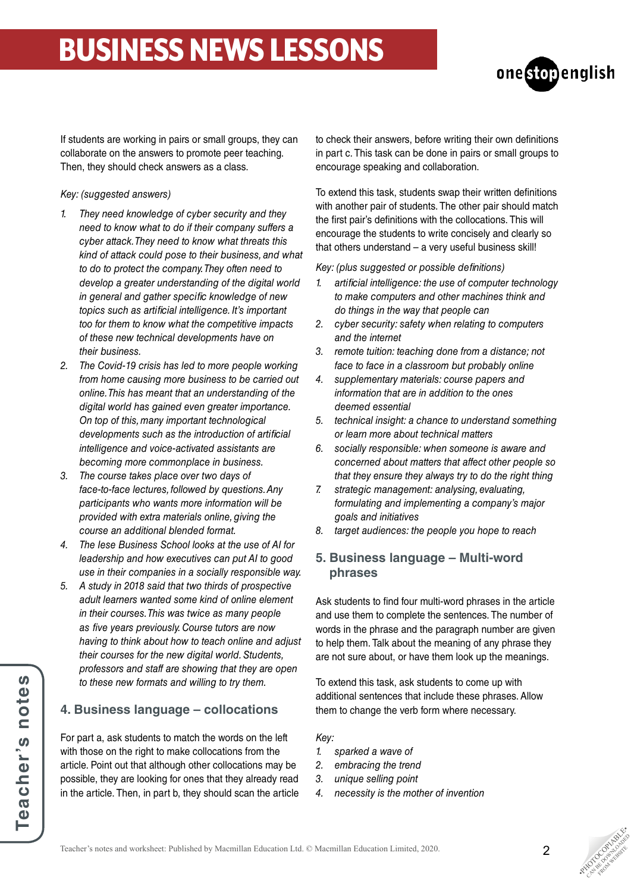# BUSINESS NEWS LESSONS



If students are working in pairs or small groups, they can collaborate on the answers to promote peer teaching. Then, they should check answers as a class.

#### *Key: (suggested answers)*

- *1. They need knowledge of cyber security and they need to know what to do if their company suffers a cyber attack. They need to know what threats this kind of attack could pose to their business, and what to do to protect the company. They often need to develop a greater understanding of the digital world in general and gather specific knowledge of new topics such as artificial intelligence. It's important too for them to know what the competitive impacts of these new technical developments have on their business.*
- *2. The Covid-19 crisis has led to more people working from home causing more business to be carried out online. This has meant that an understanding of the digital world has gained even greater importance. On top of this, many important technological developments such as the introduction of artificial intelligence and voice-activated assistants are becoming more commonplace in business.*
- *3. The course takes place over two days of face-to-face lectures, followed by questions. Any participants who wants more information will be provided with extra materials online, giving the course an additional blended format.*
- *4. The Iese Business School looks at the use of AI for leadership and how executives can put AI to good use in their companies in a socially responsible way.*
- *5. A study in 2018 said that two thirds of prospective adult learners wanted some kind of online element in their courses. This was twice as many people as five years previously. Course tutors are now having to think about how to teach online and adjust their courses for the new digital world. Students, professors and staff are showing that they are open to these new formats and willing to try them.*

### **4. Business language – collocations**

For part a, ask students to match the words on the left with those on the right to make collocations from the article. Point out that although other collocations may be possible, they are looking for ones that they already read in the article. Then, in part b, they should scan the article to check their answers, before writing their own definitions in part c. This task can be done in pairs or small groups to encourage speaking and collaboration.

To extend this task, students swap their written definitions with another pair of students. The other pair should match the first pair's definitions with the collocations. This will encourage the students to write concisely and clearly so that others understand – a very useful business skill!

*Key: (plus suggested or possible definitions)*

- *1. artificial intelligence: the use of computer technology to make computers and other machines think and do things in the way that people can*
- *2. cyber security: safety when relating to computers and the internet*
- *3. remote tuition: teaching done from a distance; not face to face in a classroom but probably online*
- *4. supplementary materials: course papers and information that are in addition to the ones deemed essential*
- *5. technical insight: a chance to understand something or learn more about technical matters*
- *6. socially responsible: when someone is aware and concerned about matters that affect other people so that they ensure they always try to do the right thing*
- *7. strategic management: analysing, evaluating, formulating and implementing a company's major goals and initiatives*
- *8. target audiences: the people you hope to reach*

### **5. Business language – Multi-word phrases**

Ask students to find four multi-word phrases in the article and use them to complete the sentences. The number of words in the phrase and the paragraph number are given to help them. Talk about the meaning of any phrase they are not sure about, or have them look up the meanings.

To extend this task, ask students to come up with additional sentences that include these phrases. Allow them to change the verb form where necessary.

*Key:*

- *1. sparked a wave of*
- *2. embracing the trend*
- *3. unique selling point*
- *4. necessity is the mother of invention*